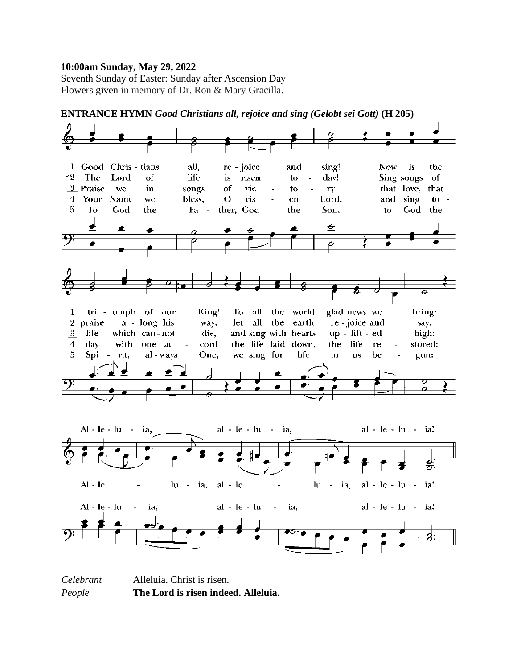# **10:00am Sunday, May 29, 2022**

Seventh Sunday of Easter: Sunday after Ascension Day Flowers given in memory of Dr. Ron & Mary Gracilla.



# **ENTRANCE HYMN** *Good Christians all, rejoice and sing (Gelobt sei Gott)* **(H 205)**

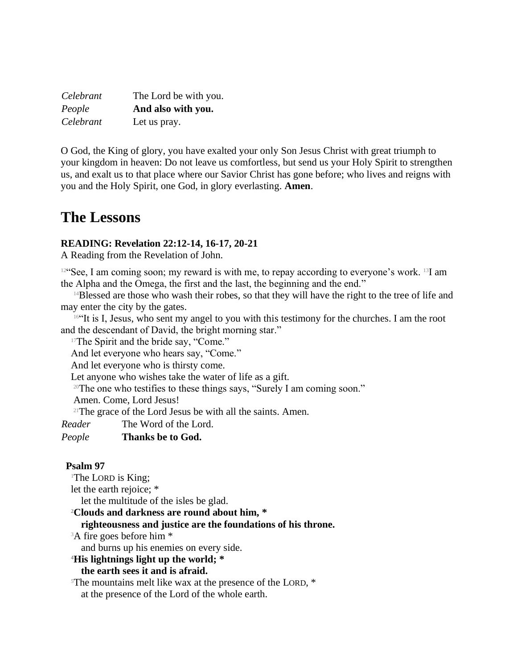| Celebrant | The Lord be with you. |
|-----------|-----------------------|
| People    | And also with you.    |
| Celebrant | Let us pray.          |

O God, the King of glory, you have exalted your only Son Jesus Christ with great triumph to your kingdom in heaven: Do not leave us comfortless, but send us your Holy Spirit to strengthen us, and exalt us to that place where our Savior Christ has gone before; who lives and reigns with you and the Holy Spirit, one God, in glory everlasting. **Amen**.

# **The Lessons**

## **READING: Revelation 22:12-14, 16-17, 20-21**

A Reading from the Revelation of John.

 $12\text{°See}$ , I am coming soon; my reward is with me, to repay according to everyone's work. <sup>13</sup>I am the Alpha and the Omega, the first and the last, the beginning and the end."

 $14$ Blessed are those who wash their robes, so that they will have the right to the tree of life and may enter the city by the gates.

<sup>164</sup>It is I, Jesus, who sent my angel to you with this testimony for the churches. I am the root and the descendant of David, the bright morning star."

<sup>17</sup>The Spirit and the bride say, "Come."

And let everyone who hears say, "Come."

And let everyone who is thirsty come.

Let anyone who wishes take the water of life as a gift.

<sup>20</sup>The one who testifies to these things says, "Surely I am coming soon."

Amen. Come, Lord Jesus!

<sup>21</sup>The grace of the Lord Jesus be with all the saints. Amen.

*Reader* The Word of the Lord.

*People* **Thanks be to God.**

#### **Psalm 97**

<sup>1</sup>The LORD is King;

let the earth rejoice; \*

let the multitude of the isles be glad.

**<sup>2</sup>Clouds and darkness are round about him, \***

#### **righteousness and justice are the foundations of his throne.**

<sup>3</sup>A fire goes before him  $*$ 

and burns up his enemies on every side.

## **<sup>4</sup>His lightnings light up the world; \***

#### **the earth sees it and is afraid.**

<sup>5</sup>The mountains melt like wax at the presence of the LORD, \* at the presence of the Lord of the whole earth.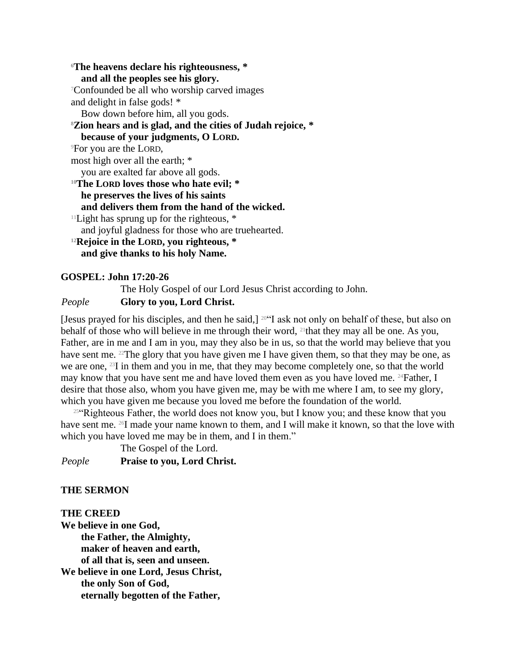**<sup>6</sup>The heavens declare his righteousness, \* and all the peoples see his glory.** <sup>7</sup>Confounded be all who worship carved images and delight in false gods! \* Bow down before him, all you gods. **<sup>8</sup>Zion hears and is glad, and the cities of Judah rejoice, \* because of your judgments, O LORD.** <sup>9</sup>For you are the LORD, most high over all the earth; \* you are exalted far above all gods. **<sup>10</sup>The LORD loves those who hate evil; \* he preserves the lives of his saints and delivers them from the hand of the wicked.** <sup>11</sup>Light has sprung up for the righteous,  $*$ and joyful gladness for those who are truehearted. **<sup>12</sup>Rejoice in the LORD, you righteous, \* and give thanks to his holy Name.**

# **GOSPEL: John 17:20-26**

The Holy Gospel of our Lord Jesus Christ according to John.

## *People* **Glory to you, Lord Christ.**

[Jesus prayed for his disciples, and then he said,] 20"I ask not only on behalf of these, but also on behalf of those who will believe in me through their word, <sup>21</sup>that they may all be one. As you, Father, are in me and I am in you, may they also be in us, so that the world may believe that you have sent me. <sup>22</sup>The glory that you have given me I have given them, so that they may be one, as we are one, 23I in them and you in me, that they may become completely one, so that the world may know that you have sent me and have loved them even as you have loved me. 24Father, I desire that those also, whom you have given me, may be with me where I am, to see my glory, which you have given me because you loved me before the foundation of the world.

<sup>256</sup>'Righteous Father, the world does not know you, but I know you; and these know that you have sent me. <sup>26</sup>I made your name known to them, and I will make it known, so that the love with which you have loved me may be in them, and I in them."

The Gospel of the Lord.

*People* **Praise to you, Lord Christ.**

# **THE SERMON**

**THE CREED**

**We believe in one God, the Father, the Almighty, maker of heaven and earth, of all that is, seen and unseen. We believe in one Lord, Jesus Christ, the only Son of God, eternally begotten of the Father,**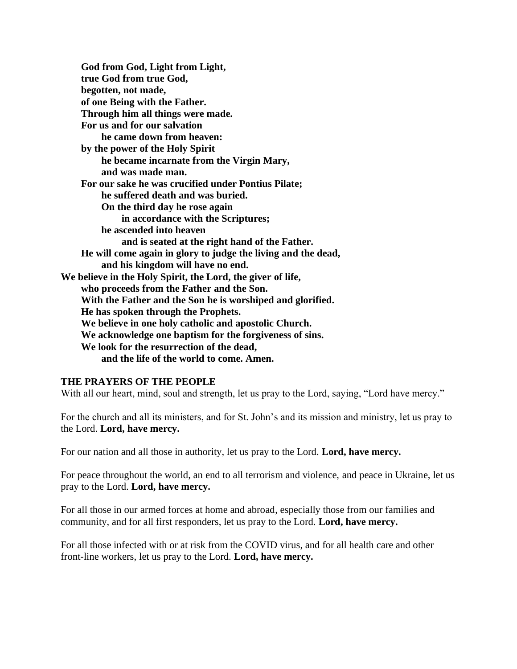**God from God, Light from Light, true God from true God, begotten, not made, of one Being with the Father. Through him all things were made. For us and for our salvation he came down from heaven: by the power of the Holy Spirit he became incarnate from the Virgin Mary, and was made man. For our sake he was crucified under Pontius Pilate; he suffered death and was buried. On the third day he rose again in accordance with the Scriptures; he ascended into heaven and is seated at the right hand of the Father. He will come again in glory to judge the living and the dead, and his kingdom will have no end. We believe in the Holy Spirit, the Lord, the giver of life, who proceeds from the Father and the Son. With the Father and the Son he is worshiped and glorified. He has spoken through the Prophets. We believe in one holy catholic and apostolic Church. We acknowledge one baptism for the forgiveness of sins. We look for the resurrection of the dead, and the life of the world to come. Amen.**

#### **THE PRAYERS OF THE PEOPLE**

With all our heart, mind, soul and strength, let us pray to the Lord, saying, "Lord have mercy."

For the church and all its ministers, and for St. John's and its mission and ministry, let us pray to the Lord. **Lord, have mercy.**

For our nation and all those in authority, let us pray to the Lord. **Lord, have mercy.**

For peace throughout the world, an end to all terrorism and violence, and peace in Ukraine, let us pray to the Lord. **Lord, have mercy.**

For all those in our armed forces at home and abroad, especially those from our families and community, and for all first responders, let us pray to the Lord. **Lord, have mercy.**

For all those infected with or at risk from the COVID virus, and for all health care and other front-line workers, let us pray to the Lord. **Lord, have mercy.**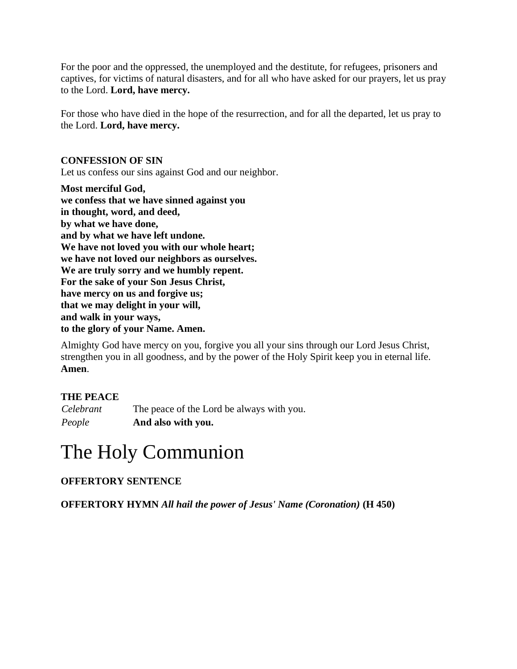For the poor and the oppressed, the unemployed and the destitute, for refugees, prisoners and captives, for victims of natural disasters, and for all who have asked for our prayers, let us pray to the Lord. **Lord, have mercy.**

For those who have died in the hope of the resurrection, and for all the departed, let us pray to the Lord. **Lord, have mercy.**

#### **CONFESSION OF SIN**

Let us confess our sins against God and our neighbor.

**Most merciful God, we confess that we have sinned against you in thought, word, and deed, by what we have done, and by what we have left undone. We have not loved you with our whole heart; we have not loved our neighbors as ourselves. We are truly sorry and we humbly repent. For the sake of your Son Jesus Christ, have mercy on us and forgive us; that we may delight in your will, and walk in your ways, to the glory of your Name. Amen.**

Almighty God have mercy on you, forgive you all your sins through our Lord Jesus Christ, strengthen you in all goodness, and by the power of the Holy Spirit keep you in eternal life. **Amen**.

# **THE PEACE**

| Celebrant | The peace of the Lord be always with you. |
|-----------|-------------------------------------------|
| People    | And also with you.                        |

# The Holy Communion

# **OFFERTORY SENTENCE**

**OFFERTORY HYMN** *All hail the power of Jesus' Name (Coronation)* **(H 450)**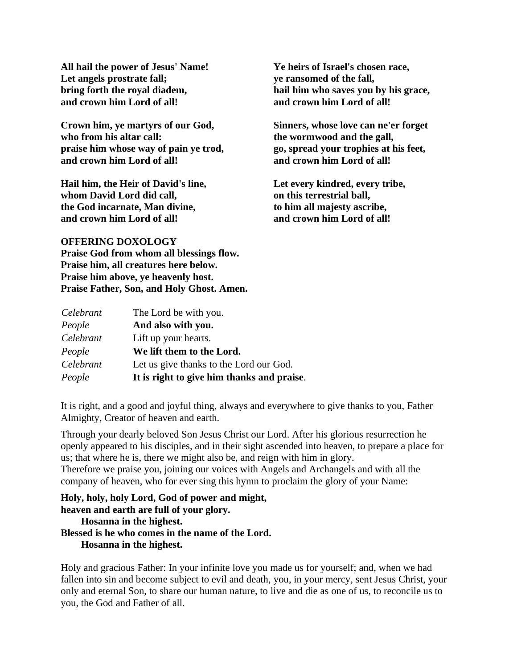**All hail the power of Jesus' Name! Let angels prostrate fall; bring forth the royal diadem, and crown him Lord of all!**

**Crown him, ye martyrs of our God, who from his altar call: praise him whose way of pain ye trod, and crown him Lord of all!**

**Hail him, the Heir of David's line, whom David Lord did call, the God incarnate, Man divine, and crown him Lord of all!**

**OFFERING DOXOLOGY**

**Praise God from whom all blessings flow. Praise him, all creatures here below. Praise him above, ye heavenly host. Praise Father, Son, and Holy Ghost. Amen.**

**Ye heirs of Israel's chosen race, ye ransomed of the fall, hail him who saves you by his grace, and crown him Lord of all!**

**Sinners, whose love can ne'er forget the wormwood and the gall, go, spread your trophies at his feet, and crown him Lord of all!**

**Let every kindred, every tribe, on this terrestrial ball, to him all majesty ascribe, and crown him Lord of all!**

| Celebrant | The Lord be with you.                      |
|-----------|--------------------------------------------|
| People    | And also with you.                         |
| Celebrant | Lift up your hearts.                       |
| People    | We lift them to the Lord.                  |
| Celebrant | Let us give thanks to the Lord our God.    |
| People    | It is right to give him thanks and praise. |

It is right, and a good and joyful thing, always and everywhere to give thanks to you, Father Almighty, Creator of heaven and earth.

Through your dearly beloved Son Jesus Christ our Lord. After his glorious resurrection he openly appeared to his disciples, and in their sight ascended into heaven, to prepare a place for us; that where he is, there we might also be, and reign with him in glory. Therefore we praise you, joining our voices with Angels and Archangels and with all the company of heaven, who for ever sing this hymn to proclaim the glory of your Name:

**Holy, holy, holy Lord, God of power and might, heaven and earth are full of your glory. Hosanna in the highest. Blessed is he who comes in the name of the Lord. Hosanna in the highest.**

Holy and gracious Father: In your infinite love you made us for yourself; and, when we had fallen into sin and become subject to evil and death, you, in your mercy, sent Jesus Christ, your only and eternal Son, to share our human nature, to live and die as one of us, to reconcile us to you, the God and Father of all.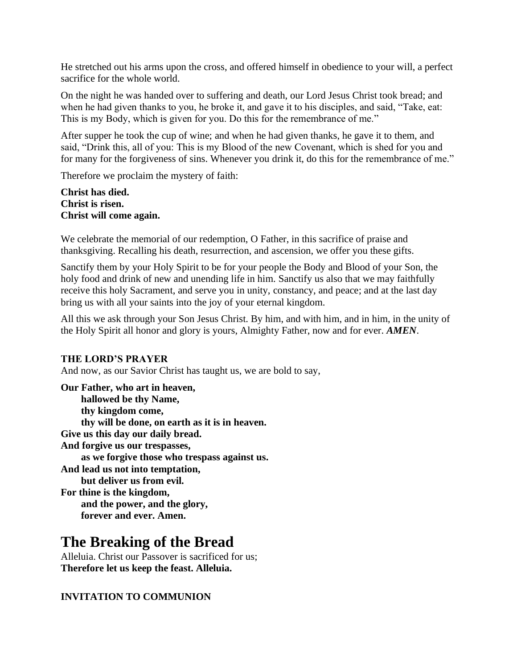He stretched out his arms upon the cross, and offered himself in obedience to your will, a perfect sacrifice for the whole world.

On the night he was handed over to suffering and death, our Lord Jesus Christ took bread; and when he had given thanks to you, he broke it, and gave it to his disciples, and said, "Take, eat: This is my Body, which is given for you. Do this for the remembrance of me."

After supper he took the cup of wine; and when he had given thanks, he gave it to them, and said, "Drink this, all of you: This is my Blood of the new Covenant, which is shed for you and for many for the forgiveness of sins. Whenever you drink it, do this for the remembrance of me."

Therefore we proclaim the mystery of faith:

**Christ has died. Christ is risen. Christ will come again.**

We celebrate the memorial of our redemption, O Father, in this sacrifice of praise and thanksgiving. Recalling his death, resurrection, and ascension, we offer you these gifts.

Sanctify them by your Holy Spirit to be for your people the Body and Blood of your Son, the holy food and drink of new and unending life in him. Sanctify us also that we may faithfully receive this holy Sacrament, and serve you in unity, constancy, and peace; and at the last day bring us with all your saints into the joy of your eternal kingdom.

All this we ask through your Son Jesus Christ. By him, and with him, and in him, in the unity of the Holy Spirit all honor and glory is yours, Almighty Father, now and for ever. *AMEN*.

#### **THE LORD'S PRAYER**

And now, as our Savior Christ has taught us, we are bold to say,

**Our Father, who art in heaven, hallowed be thy Name, thy kingdom come, thy will be done, on earth as it is in heaven. Give us this day our daily bread. And forgive us our trespasses, as we forgive those who trespass against us. And lead us not into temptation, but deliver us from evil. For thine is the kingdom, and the power, and the glory, forever and ever. Amen.**

# **The Breaking of the Bread**

Alleluia. Christ our Passover is sacrificed for us; **Therefore let us keep the feast. Alleluia.**

# **INVITATION TO COMMUNION**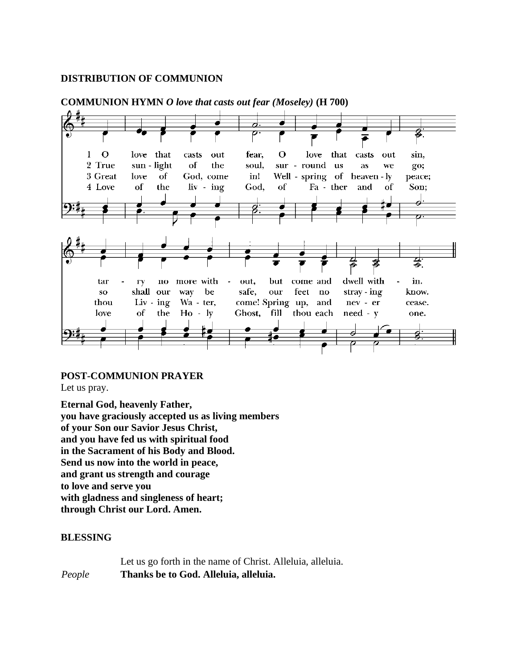#### **DISTRIBUTION OF COMMUNION**



#### **COMMUNION HYMN** *O love that casts out fear (Moseley)* **(H 700)**

#### **POST-COMMUNION PRAYER**

Let us pray.

**Eternal God, heavenly Father, you have graciously accepted us as living members of your Son our Savior Jesus Christ, and you have fed us with spiritual food in the Sacrament of his Body and Blood. Send us now into the world in peace, and grant us strength and courage to love and serve you with gladness and singleness of heart; through Christ our Lord. Amen.**

#### **BLESSING**

|        | Let us go forth in the name of Christ. Alleluia, alleluia. |
|--------|------------------------------------------------------------|
| People | Thanks be to God. Alleluia, alleluia.                      |